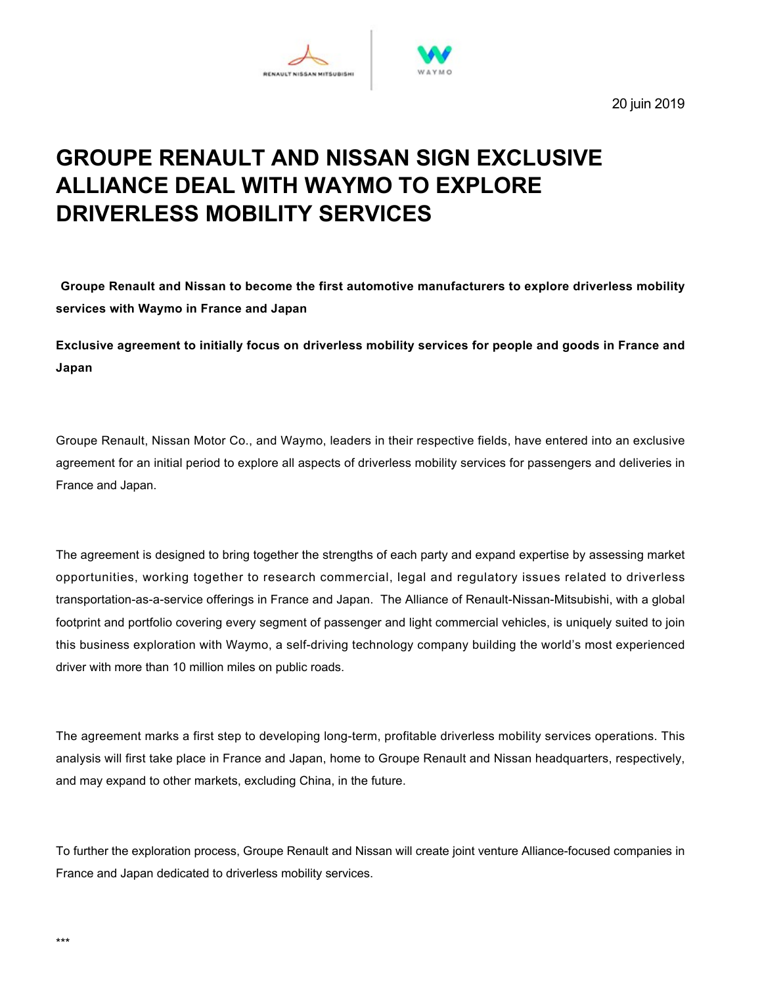

20 juin 2019

# **GROUPE RENAULT AND NISSAN SIGN EXCLUSIVE ALLIANCE DEAL WITH WAYMO TO EXPLORE DRIVERLESS MOBILITY SERVICES**

**Groupe Renault and Nissan to become the first automotive manufacturers to explore driverless mobility services with Waymo in France and Japan**

**Exclusive agreement to initially focus on driverless mobility services for people and goods in France and Japan**

Groupe Renault, Nissan Motor Co., and Waymo, leaders in their respective fields, have entered into an exclusive agreement for an initial period to explore all aspects of driverless mobility services for passengers and deliveries in France and Japan.

The agreement is designed to bring together the strengths of each party and expand expertise by assessing market opportunities, working together to research commercial, legal and regulatory issues related to driverless transportation-as-a-service offerings in France and Japan. The Alliance of Renault-Nissan-Mitsubishi, with a global footprint and portfolio covering every segment of passenger and light commercial vehicles, is uniquely suited to join this business exploration with Waymo, a self-driving technology company building the world's most experienced driver with more than 10 million miles on public roads.

The agreement marks a first step to developing long-term, profitable driverless mobility services operations. This analysis will first take place in France and Japan, home to Groupe Renault and Nissan headquarters, respectively, and may expand to other markets, excluding China, in the future.

To further the exploration process, Groupe Renault and Nissan will create joint venture Alliance-focused companies in France and Japan dedicated to driverless mobility services.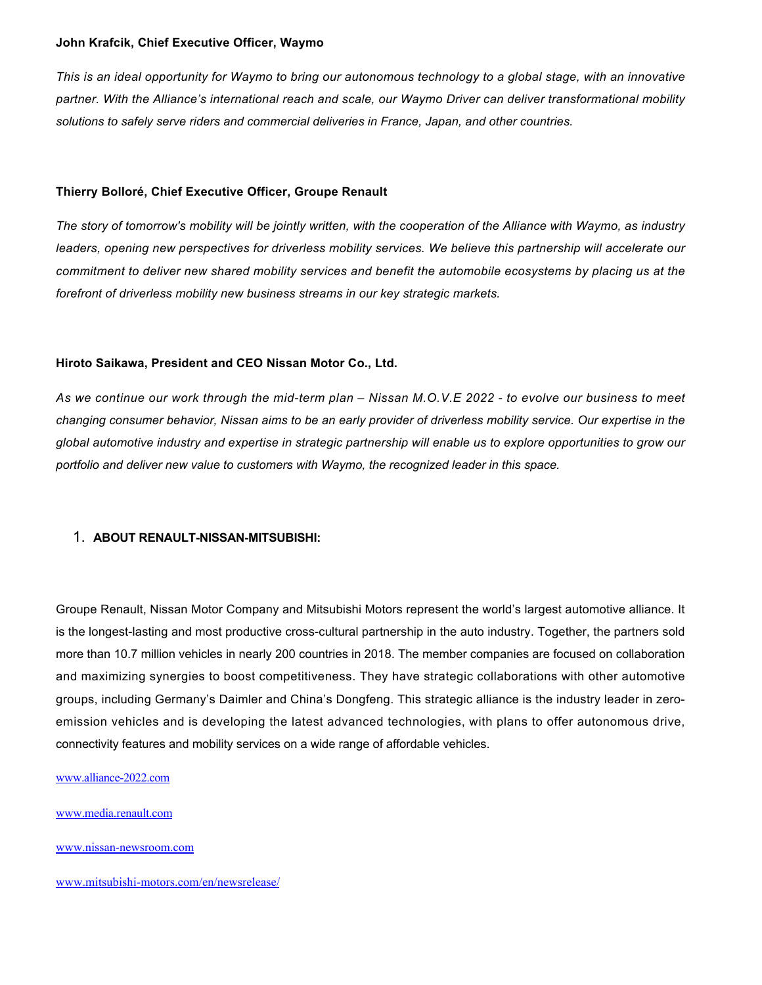#### **John Krafcik, Chief Executive Officer, Waymo**

*This is an ideal opportunity for Waymo to bring our autonomous technology to a global stage, with an innovative partner. With the Alliance's international reach and scale, our Waymo Driver can deliver transformational mobility solutions to safely serve riders and commercial deliveries in France, Japan, and other countries.*

#### **Thierry Bolloré, Chief Executive Officer, Groupe Renault**

*The story of tomorrow's mobility will be jointly written, with the cooperation of the Alliance with Waymo, as industry leaders, opening new perspectives for driverless mobility services. We believe this partnership will accelerate our commitment to deliver new shared mobility services and benefit the automobile ecosystems by placing us at the forefront of driverless mobility new business streams in our key strategic markets.*

### **Hiroto Saikawa, President and CEO Nissan Motor Co., Ltd.**

*As we continue our work through the midterm plan – Nissan M.O.V.E 2022 to evolve our business to meet changing consumer behavior, Nissan aims to be an early provider of driverless mobility service. Our expertise in the global automotive industry and expertise in strategic partnership will enable us to explore opportunities to grow our portfolio and deliver new value to customers with Waymo, the recognized leader in this space.*

#### 1. ABOUT RENAULT-NISSAN-MITSUBISHI:

Groupe Renault, Nissan Motor Company and Mitsubishi Motors represent the world's largest automotive alliance. It is the longest-lasting and most productive cross-cultural partnership in the auto industry. Together, the partners sold more than 10.7 million vehicles in nearly 200 countries in 2018. The member companies are focused on collaboration and maximizing synergies to boost competitiveness. They have strategic collaborations with other automotive groups, including Germany's Daimler and China's Dongfeng. This strategic alliance is the industry leader in zeroemission vehicles and is developing the latest advanced technologies, with plans to offer autonomous drive, connectivity features and mobility services on a wide range of affordable vehicles.

www.alliance-2022.com

[www.media.renault.com](http://www.media.renault.com/)

www.nissan-newsroom.com

www.mitsubishi-motors.com/en/newsrelease/